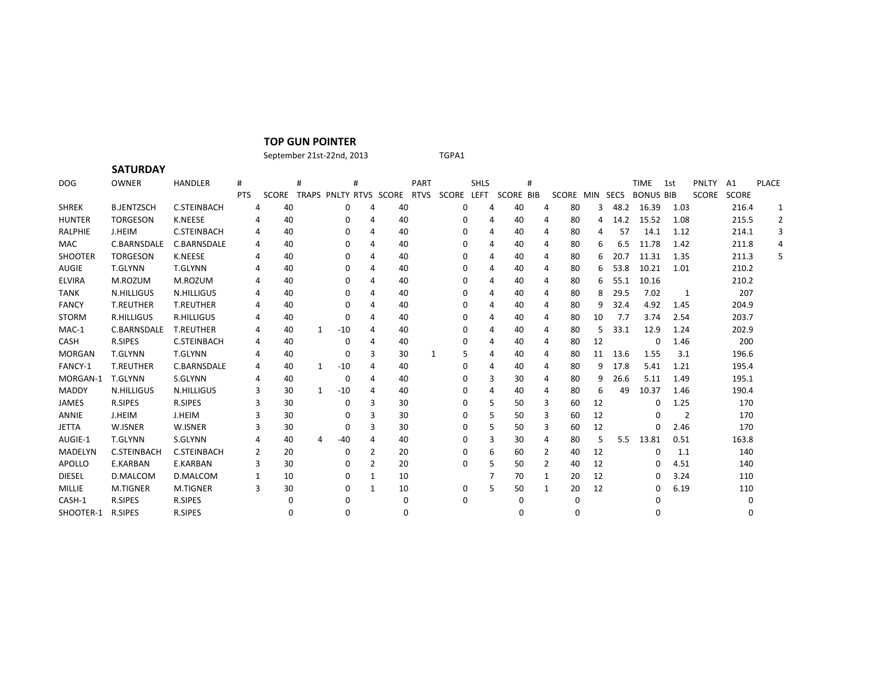## **TOP GUN POINTER**

## September 21st-22nd, 2013 TGPA1

**SATURDAY** DOG OWNER HANDLER # # # PART SHLS # TIME 1st PNLTY A1 PLACE PTS SCORE TRAPS PNLTY RTVS SCORE RTVS SCORE LEFT SCORE BIB SCORE MIN SECS BONUS BIB SCORE SCORE SHREK B.JENTZSCH C.STEINBACH 4 40 0 4 40 0 4 40 4 80 3 48.2 16.39 1.03 216.4 1 HUNTER TORGESON K.NEESE 4 40 0 4 40 0 4 40 4 80 4 14.2 15.52 1.08 215.5 2 RALPHIE J.HEIM C.STEINBACH 4 40 0 4 40 0 4 40 4 80 4 57 14.1 1.12 214.1 3 MAC C.BARNSDALE C.BARNSDALE 4 40 0 4 40 0 4 40 4 80 6 6.5 11.78 1.42 211.8 4 SHOOTER TORGESON K.NEESE 4 40 0 4 40 0 4 40 4 80 6 20.7 11.31 1.35 211.3 5 AUGIE T.GLYNN T.GLYNN 4 40 0 4 40 0 4 40 4 80 6 53.8 10.21 1.01 210.2 ELVIRA M.ROZUM M.ROZUM 4 40 0 4 40 0 4 40 4 80 6 55.1 10.16 210.2 TANK N.HILLIGUS N.HILLIGUS 4 40 0 4 40 0 4 40 4 80 8 29.5 7.02 1 207 FANCY T.REUTHER T.REUTHER 4 40 0 4 40 0 4 40 4 80 9 32.4 4.92 1.45 204.9 STORM R.HILLIGUS R.HILLIGUS 4 40 0 4 40 0 4 40 4 80 10 7.7 3.74 2.54 203.7 MAC-1 C.BARNSDALE T.REUTHER 4 40 1 -10 4 40 0 4 40 4 80 5 33.1 12.9 1.24 202.9 CASH R.SIPES C.STEINBACH 4 40 0 4 40 0 4 40 4 80 12 0 1.46 200 MORGAN T.GLYNN T.GLYNN 4 40 0 3 30 1 5 4 40 4 80 11 13.6 1.55 3.1 196.6 FANCY-1 T.REUTHER C.BARNSDALE 4 40 1 -10 4 40 0 4 40 4 80 9 17.8 5.41 1.21 195.4 MORGAN-1 T.GLYNN S.GLYNN 4 40 0 4 40 0 3 30 4 80 9 26.6 5.11 1.49 195.1 MADDY N.HILLIGUS N.HILLIGUS 3 30 1 -10 4 40 0 4 40 4 80 6 49 10.37 1.46 190.4 JAMES R.SIPES R.SIPES 3 30 0 3 30 0 5 50 3 60 12 0 1.25 170 ANNIE J.HEIM J.HEIM 3 30 0 3 30 0 5 50 3 60 12 0 2 170 JETTA W.ISNER W.ISNER 3 30 0 3 30 0 5 50 3 60 12 0 2.46 170 AUGIE-1 T.GLYNN S.GLYNN 4 40 4 -40 4 40 0 3 30 4 80 5 5.5 13.81 0.51 163.8 MADELYN C.STEINBACH C.STEINBACH 2 20 0 2 20 0 0 6 60 2 40 12 0 1.1 140 APOLLO E.KARBAN E.KARBAN 3 30 0 2 20 0 5 50 2 40 12 0 4.51 140 DIESEL D.MALCOM D.MALCOM 1 10 0 1 10 7 70 1 20 12 0 3.24 110 MILLIE M.TIGNER M.TIGNER 3 30 0 1 10 0 5 50 1 20 12 0 6.19 110 CASH-1 R.SIPES R.SIPES 0 0 0 0 0 0 0 0 SHOOTER-1 R.SIPES R.SIPES 0 0 0 0 0 0 0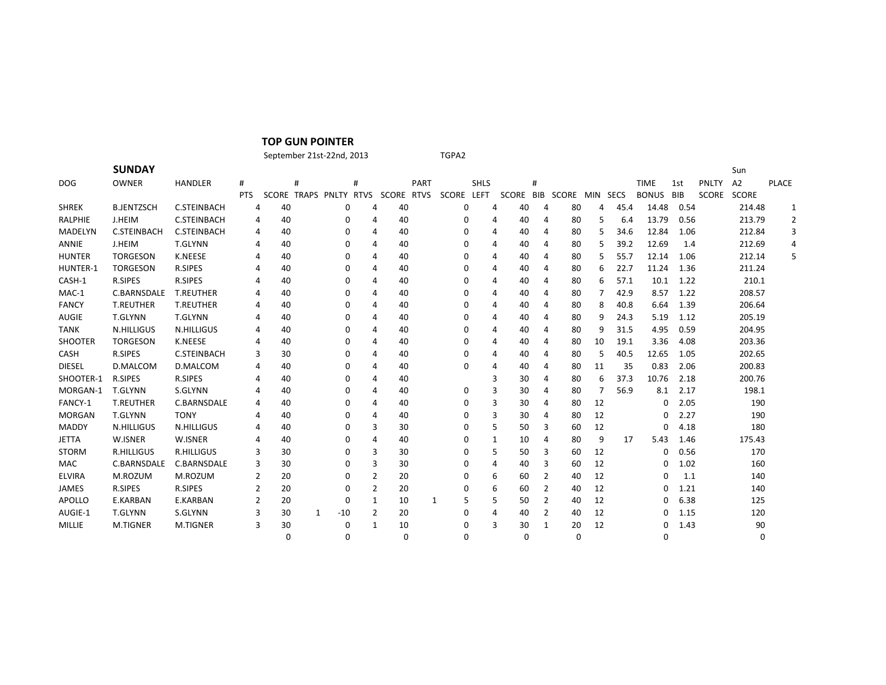| <b>TOP GUN POINTER</b> |  |
|------------------------|--|
|------------------------|--|

September 21st-22nd, 2013 TGPA2

|                | <b>SUNDAY</b>      |                    |            |    |   |          |                |                                   |             |            |             |           |   |       |          |      |              |      |              | Sun          |              |   |
|----------------|--------------------|--------------------|------------|----|---|----------|----------------|-----------------------------------|-------------|------------|-------------|-----------|---|-------|----------|------|--------------|------|--------------|--------------|--------------|---|
| <b>DOG</b>     | OWNER              | <b>HANDLER</b>     | #          |    | # |          | #              |                                   | <b>PART</b> |            | <b>SHLS</b> | #         |   |       |          |      | <b>TIME</b>  | 1st  | <b>PNLTY</b> | A2           | <b>PLACE</b> |   |
|                |                    |                    | <b>PTS</b> |    |   |          |                | SCORE TRAPS PNLTY RTVS SCORE RTVS |             | SCORE LEFT |             | SCORE BIB |   | SCORE | MIN SECS |      | <b>BONUS</b> | BIB  | SCORE        | <b>SCORE</b> |              |   |
| <b>SHREK</b>   | <b>B.JENTZSCH</b>  | <b>C.STEINBACH</b> | 4          | 40 |   | 0        | 4              | 40                                |             | 0          | 4           | 40        | 4 | 80    | 4        | 45.4 | 14.48        | 0.54 |              | 214.48       | 1            |   |
| <b>RALPHIE</b> | <b>J.HEIM</b>      | <b>C.STEINBACH</b> | 4          | 40 |   | 0        | 4              | 40                                |             | 0          | 4           | 40        | 4 | 80    | 5        | 6.4  | 13.79        | 0.56 |              | 213.79       | 2            |   |
| <b>MADELYN</b> | <b>C.STEINBACH</b> | <b>C.STEINBACH</b> | 4          | 40 |   | 0        | 4              | 40                                |             | 0          | 4           | 40        | 4 | 80    | 5        | 34.6 | 12.84        | 1.06 |              | 212.84       |              |   |
| ANNIE          | J.HEIM             | T.GLYNN            | 4          | 40 |   | 0        | 4              | 40                                |             | 0          | 4           | 40        | 4 | 80    | 5        | 39.2 | 12.69        | 1.4  |              | 212.69       |              | 4 |
| <b>HUNTER</b>  | <b>TORGESON</b>    | K.NEESE            | 4          | 40 |   | 0        | 4              | 40                                |             | 0          | 4           | 40        | 4 | 80    | 5        | 55.7 | 12.14        | 1.06 |              | 212.14       | 5            |   |
| HUNTER-1       | <b>TORGESON</b>    | <b>R.SIPES</b>     | 4          | 40 |   | 0        | 4              | 40                                |             | 0          | 4           | 40        | 4 | 80    | 6        | 22.7 | 11.24        | 1.36 |              | 211.24       |              |   |
| CASH-1         | <b>R.SIPES</b>     | <b>R.SIPES</b>     | 4          | 40 |   | 0        | 4              | 40                                |             | 0          | 4           | 40        | 4 | 80    | 6        | 57.1 | 10.1         | 1.22 |              | 210.1        |              |   |
| MAC-1          | <b>C.BARNSDALE</b> | <b>T.REUTHER</b>   | 4          | 40 |   | 0        | 4              | 40                                |             | 0          | 4           | 40        | 4 | 80    | 7        | 42.9 | 8.57         | 1.22 |              | 208.57       |              |   |
| <b>FANCY</b>   | <b>T.REUTHER</b>   | <b>T.REUTHER</b>   | 4          | 40 |   | 0        | 4              | 40                                |             | 0          | 4           | 40        | 4 | 80    | 8        | 40.8 | 6.64         | 1.39 |              | 206.64       |              |   |
| <b>AUGIE</b>   | <b>T.GLYNN</b>     | <b>T.GLYNN</b>     | 4          | 40 |   | 0        | 4              | 40                                |             | 0          | 4           | 40        | 4 | 80    | 9        | 24.3 | 5.19         | 1.12 |              | 205.19       |              |   |
| <b>TANK</b>    | N.HILLIGUS         | <b>N.HILLIGUS</b>  | 4          | 40 |   | 0        | 4              | 40                                |             | 0          | 4           | 40        | 4 | 80    | 9        | 31.5 | 4.95         | 0.59 |              | 204.95       |              |   |
| <b>SHOOTER</b> | <b>TORGESON</b>    | <b>K.NEESE</b>     | 4          | 40 |   | 0        | 4              | 40                                |             | 0          | 4           | 40        | 4 | 80    | 10       | 19.1 | 3.36         | 4.08 |              | 203.36       |              |   |
| <b>CASH</b>    | <b>R.SIPES</b>     | <b>C.STEINBACH</b> | 3          | 30 |   | 0        | 4              | 40                                |             | 0          | 4           | 40        | 4 | 80    | 5        | 40.5 | 12.65        | 1.05 |              | 202.65       |              |   |
| <b>DIESEL</b>  | D.MALCOM           | D.MALCOM           | 4          | 40 |   | 0        | 4              | 40                                |             | 0          | 4           | 40        | 4 | 80    | 11       | 35   | 0.83         | 2.06 |              | 200.83       |              |   |
| SHOOTER-1      | <b>R.SIPES</b>     | <b>R.SIPES</b>     | 4          | 40 |   | 0        | 4              | 40                                |             |            | 3           | 30        | 4 | 80    | 6        | 37.3 | 10.76        | 2.18 |              | 200.76       |              |   |
| MORGAN-1       | T.GLYNN            | S.GLYNN            | 4          | 40 |   | 0        | 4              | 40                                |             | 0          | 3           | 30        | 4 | 80    |          | 56.9 | 8.1          | 2.17 |              | 198.1        |              |   |
| FANCY-1        | <b>T.REUTHER</b>   | C.BARNSDALE        | 4          | 40 |   | 0        | 4              | 40                                |             | 0          | 3           | 30        | 4 | 80    | 12       |      | 0            | 2.05 |              | 190          |              |   |
| <b>MORGAN</b>  | <b>T.GLYNN</b>     | <b>TONY</b>        | 4          | 40 |   | 0        | 4              | 40                                |             | 0          | 3           | 30        | 4 | -80   | 12       |      | 0            | 2.27 |              | 190          |              |   |
| MADDY          | <b>N.HILLIGUS</b>  | <b>N.HILLIGUS</b>  | 4          | 40 |   | 0        | 3              | 30                                |             | 0          | 5           | 50        | 3 | 60    | 12       |      | 0            | 4.18 |              | 180          |              |   |
| <b>JETTA</b>   | W.ISNER            | W.ISNER            | 4          | 40 |   | 0        | 4              | 40                                |             | 0          | 1           | 10        | 4 | 80    | 9        | 17   | 5.43         | 1.46 |              | 175.43       |              |   |
| <b>STORM</b>   | R.HILLIGUS         | <b>R.HILLIGUS</b>  | 3          | 30 |   | 0        | 3              | 30                                |             | 0          | 5           | 50        | 3 | -60   | 12       |      | 0            | 0.56 |              | 170          |              |   |
| MAC            | C.BARNSDALE        | C.BARNSDALE        | 3          | 30 |   | 0        | 3              | 30                                |             | 0          | 4           | 40        | 3 | 60    | 12       |      | 0            | 1.02 |              | 160          |              |   |
| <b>ELVIRA</b>  | M.ROZUM            | M.ROZUM            | 2          | 20 |   | 0        | $\overline{2}$ | 20                                |             | 0          | 6           | 60        | 2 | 40    | 12       |      | 0            | 1.1  |              | 140          |              |   |
| <b>JAMES</b>   | <b>R.SIPES</b>     | R.SIPES            | 2          | 20 |   | 0        | $\overline{2}$ | 20                                |             | 0          | 6           | 60        | 2 | 40    | 12       |      | 0            | 1.21 |              | 140          |              |   |
| <b>APOLLO</b>  | E.KARBAN           | E.KARBAN           |            | 20 |   | 0        | 1              | 10                                |             | 5<br>1     | 5           | 50        | 2 | 40    | 12       |      | 0            | 6.38 |              | 125          |              |   |
| AUGIE-1        | <b>T.GLYNN</b>     | S.GLYNN            | 3          | 30 | 1 | $-10$    | $\overline{2}$ | 20                                |             | 0          | 4           | 40        | 2 | 40    | 12       |      | 0            | 1.15 |              | 120          |              |   |
| <b>MILLIE</b>  | <b>M.TIGNER</b>    | <b>M.TIGNER</b>    | 3          | 30 |   | $\Omega$ | 1              | 10                                |             | 0          | 3           | 30        | 1 | 20    | 12       |      | 0            | 1.43 |              | 90           |              |   |

0 0 0 0 0 0 0 0